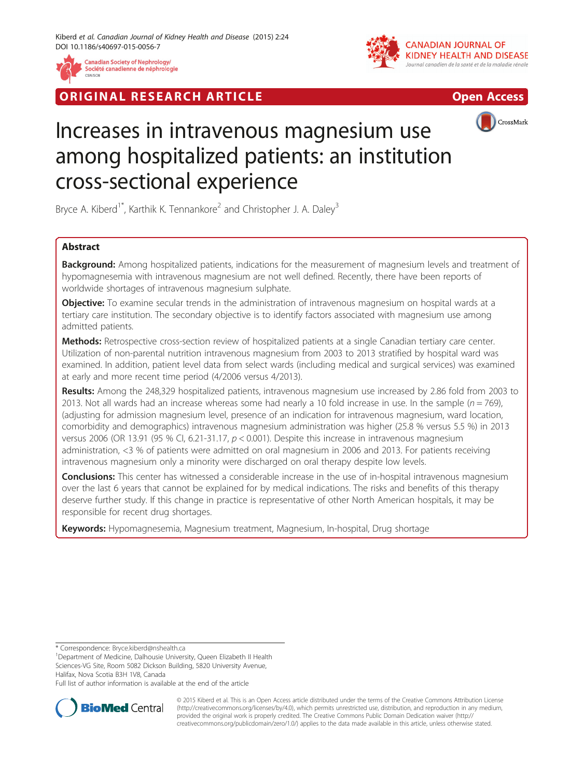

**RIGINAL RESEARCH ARTICLE CONSUMING ACCESS** 





## CrossMark

# Increases in intravenous magnesium use among hospitalized patients: an institution cross-sectional experience

Bryce A. Kiberd<sup>1\*</sup>, Karthik K. Tennankore<sup>2</sup> and Christopher J. A. Dalev<sup>3</sup>

## Abstract

Background: Among hospitalized patients, indications for the measurement of magnesium levels and treatment of hypomagnesemia with intravenous magnesium are not well defined. Recently, there have been reports of worldwide shortages of intravenous magnesium sulphate.

**Objective:** To examine secular trends in the administration of intravenous magnesium on hospital wards at a tertiary care institution. The secondary objective is to identify factors associated with magnesium use among admitted patients.

Methods: Retrospective cross-section review of hospitalized patients at a single Canadian tertiary care center. Utilization of non-parental nutrition intravenous magnesium from 2003 to 2013 stratified by hospital ward was examined. In addition, patient level data from select wards (including medical and surgical services) was examined at early and more recent time period (4/2006 versus 4/2013).

Results: Among the 248,329 hospitalized patients, intravenous magnesium use increased by 2.86 fold from 2003 to 2013. Not all wards had an increase whereas some had nearly a 10 fold increase in use. In the sample ( $n = 769$ ), (adjusting for admission magnesium level, presence of an indication for intravenous magnesium, ward location, comorbidity and demographics) intravenous magnesium administration was higher (25.8 % versus 5.5 %) in 2013 versus 2006 (OR 13.91 (95 % CI, 6.21-31.17,  $p < 0.001$ ). Despite this increase in intravenous magnesium administration, <3 % of patients were admitted on oral magnesium in 2006 and 2013. For patients receiving intravenous magnesium only a minority were discharged on oral therapy despite low levels.

**Conclusions:** This center has witnessed a considerable increase in the use of in-hospital intravenous magnesium over the last 6 years that cannot be explained for by medical indications. The risks and benefits of this therapy deserve further study. If this change in practice is representative of other North American hospitals, it may be responsible for recent drug shortages.

Keywords: Hypomagnesemia, Magnesium treatment, Magnesium, In-hospital, Drug shortage

\* Correspondence: [Bryce.kiberd@nshealth.ca](mailto:Bryce.kiberd@nshealth.ca) <sup>1</sup>

<sup>1</sup>Department of Medicine, Dalhousie University, Queen Elizabeth II Health Sciences-VG Site, Room 5082 Dickson Building, 5820 University Avenue, Halifax, Nova Scotia B3H 1V8, Canada

Full list of author information is available at the end of the article



© 2015 Kiberd et al. This is an Open Access article distributed under the terms of the Creative Commons Attribution License [\(http://creativecommons.org/licenses/by/4.0\)](http://creativecommons.org/licenses/by/4.0), which permits unrestricted use, distribution, and reproduction in any medium, provided the original work is properly credited. The Creative Commons Public Domain Dedication waiver [\(http://](http://creativecommons.org/publicdomain/zero/1.0/) [creativecommons.org/publicdomain/zero/1.0/\)](http://creativecommons.org/publicdomain/zero/1.0/) applies to the data made available in this article, unless otherwise stated.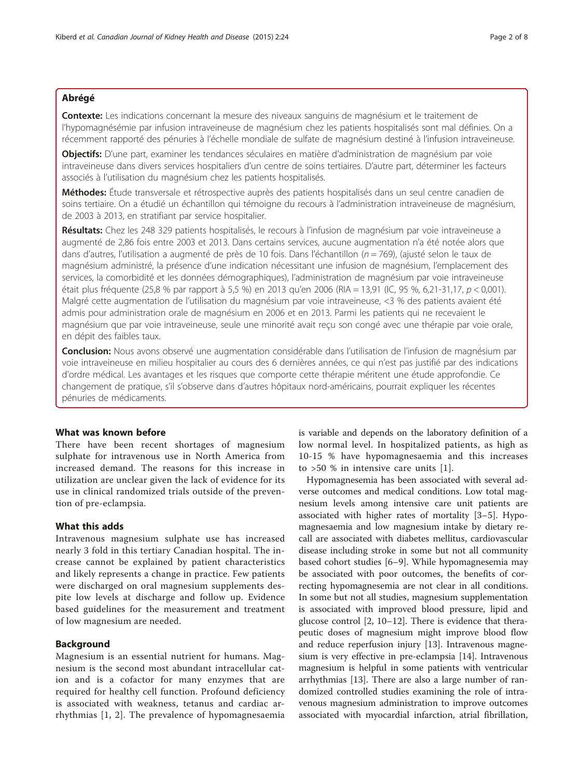## Abrégé

Contexte: Les indications concernant la mesure des niveaux sanguins de magnésium et le traitement de l'hypomagnésémie par infusion intraveineuse de magnésium chez les patients hospitalisés sont mal définies. On a récemment rapporté des pénuries à l'échelle mondiale de sulfate de magnésium destiné à l'infusion intraveineuse.

Objectifs: D'une part, examiner les tendances séculaires en matière d'administration de magnésium par voie intraveineuse dans divers services hospitaliers d'un centre de soins tertiaires. D'autre part, déterminer les facteurs associés à l'utilisation du magnésium chez les patients hospitalisés.

Méthodes: Étude transversale et rétrospective auprès des patients hospitalisés dans un seul centre canadien de soins tertiaire. On a étudié un échantillon qui témoigne du recours à l'administration intraveineuse de magnésium, de 2003 à 2013, en stratifiant par service hospitalier.

Résultats: Chez les 248 329 patients hospitalisés, le recours à l'infusion de magnésium par voie intraveineuse a augmenté de 2,86 fois entre 2003 et 2013. Dans certains services, aucune augmentation n'a été notée alors que dans d'autres, l'utilisation a augmenté de près de 10 fois. Dans l'échantillon ( $n = 769$ ), (ajusté selon le taux de magnésium administré, la présence d'une indication nécessitant une infusion de magnésium, l'emplacement des services, la comorbidité et les données démographiques), l'administration de magnésium par voie intraveineuse était plus fréquente (25,8 % par rapport à 5,5 %) en 2013 qu'en 2006 (RIA = 13,91 (IC, 95 %, 6,21-31,17,  $p < 0.001$ ). Malgré cette augmentation de l'utilisation du magnésium par voie intraveineuse, <3 % des patients avaient été admis pour administration orale de magnésium en 2006 et en 2013. Parmi les patients qui ne recevaient le magnésium que par voie intraveineuse, seule une minorité avait reçu son congé avec une thérapie par voie orale, en dépit des faibles taux.

Conclusion: Nous avons observé une augmentation considérable dans l'utilisation de l'infusion de magnésium par voie intraveineuse en milieu hospitalier au cours des 6 dernières années, ce qui n'est pas justifié par des indications d'ordre médical. Les avantages et les risques que comporte cette thérapie méritent une étude approfondie. Ce changement de pratique, s'il s'observe dans d'autres hôpitaux nord-américains, pourrait expliquer les récentes pénuries de médicaments.

## What was known before

There have been recent shortages of magnesium sulphate for intravenous use in North America from increased demand. The reasons for this increase in utilization are unclear given the lack of evidence for its use in clinical randomized trials outside of the prevention of pre-eclampsia.

## What this adds

Intravenous magnesium sulphate use has increased nearly 3 fold in this tertiary Canadian hospital. The increase cannot be explained by patient characteristics and likely represents a change in practice. Few patients were discharged on oral magnesium supplements despite low levels at discharge and follow up. Evidence based guidelines for the measurement and treatment of low magnesium are needed.

## Background

Magnesium is an essential nutrient for humans. Magnesium is the second most abundant intracellular cation and is a cofactor for many enzymes that are required for healthy cell function. Profound deficiency is associated with weakness, tetanus and cardiac arrhythmias [\[1](#page-7-0), [2](#page-7-0)]. The prevalence of hypomagnesaemia

is variable and depends on the laboratory definition of a low normal level. In hospitalized patients, as high as 10-15 % have hypomagnesaemia and this increases to >50 % in intensive care units [\[1](#page-7-0)].

Hypomagnesemia has been associated with several adverse outcomes and medical conditions. Low total magnesium levels among intensive care unit patients are associated with higher rates of mortality [[3](#page-7-0)–[5\]](#page-7-0). Hypomagnesaemia and low magnesium intake by dietary recall are associated with diabetes mellitus, cardiovascular disease including stroke in some but not all community based cohort studies [[6](#page-7-0)–[9](#page-7-0)]. While hypomagnesemia may be associated with poor outcomes, the benefits of correcting hypomagnesemia are not clear in all conditions. In some but not all studies, magnesium supplementation is associated with improved blood pressure, lipid and glucose control [\[2](#page-7-0), [10](#page-7-0)–[12](#page-7-0)]. There is evidence that therapeutic doses of magnesium might improve blood flow and reduce reperfusion injury [\[13](#page-7-0)]. Intravenous magnesium is very effective in pre-eclampsia [\[14](#page-7-0)]. Intravenous magnesium is helpful in some patients with ventricular arrhythmias [[13](#page-7-0)]. There are also a large number of randomized controlled studies examining the role of intravenous magnesium administration to improve outcomes associated with myocardial infarction, atrial fibrillation,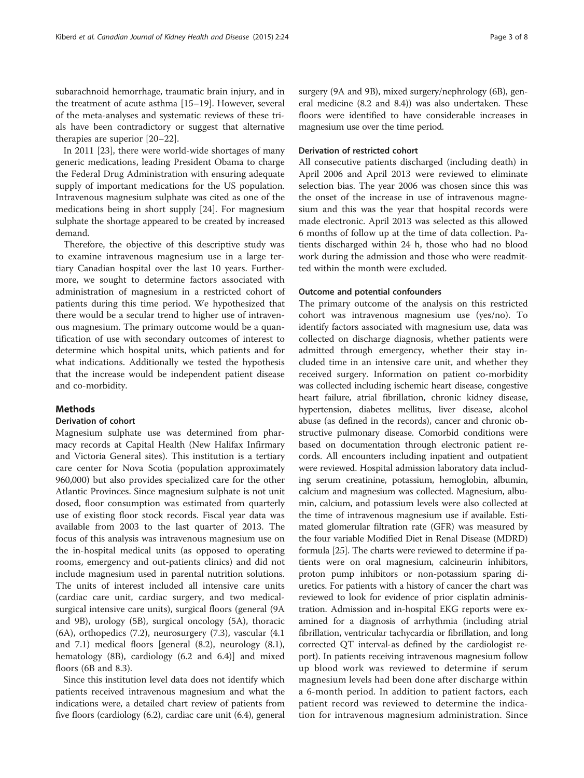subarachnoid hemorrhage, traumatic brain injury, and in the treatment of acute asthma [\[15](#page-7-0)–[19](#page-7-0)]. However, several of the meta-analyses and systematic reviews of these trials have been contradictory or suggest that alternative therapies are superior [[20](#page-7-0)–[22](#page-7-0)].

In 2011 [\[23](#page-7-0)], there were world-wide shortages of many generic medications, leading President Obama to charge the Federal Drug Administration with ensuring adequate supply of important medications for the US population. Intravenous magnesium sulphate was cited as one of the medications being in short supply [[24](#page-7-0)]. For magnesium sulphate the shortage appeared to be created by increased demand.

Therefore, the objective of this descriptive study was to examine intravenous magnesium use in a large tertiary Canadian hospital over the last 10 years. Furthermore, we sought to determine factors associated with administration of magnesium in a restricted cohort of patients during this time period. We hypothesized that there would be a secular trend to higher use of intravenous magnesium. The primary outcome would be a quantification of use with secondary outcomes of interest to determine which hospital units, which patients and for what indications. Additionally we tested the hypothesis that the increase would be independent patient disease and co-morbidity.

## Methods

## Derivation of cohort

Magnesium sulphate use was determined from pharmacy records at Capital Health (New Halifax Infirmary and Victoria General sites). This institution is a tertiary care center for Nova Scotia (population approximately 960,000) but also provides specialized care for the other Atlantic Provinces. Since magnesium sulphate is not unit dosed, floor consumption was estimated from quarterly use of existing floor stock records. Fiscal year data was available from 2003 to the last quarter of 2013. The focus of this analysis was intravenous magnesium use on the in-hospital medical units (as opposed to operating rooms, emergency and out-patients clinics) and did not include magnesium used in parental nutrition solutions. The units of interest included all intensive care units (cardiac care unit, cardiac surgery, and two medicalsurgical intensive care units), surgical floors (general (9A and 9B), urology (5B), surgical oncology (5A), thoracic (6A), orthopedics (7.2), neurosurgery (7.3), vascular (4.1 and 7.1) medical floors [general (8.2), neurology (8.1), hematology (8B), cardiology (6.2 and 6.4)] and mixed floors (6B and 8.3).

Since this institution level data does not identify which patients received intravenous magnesium and what the indications were, a detailed chart review of patients from five floors (cardiology (6.2), cardiac care unit (6.4), general surgery (9A and 9B), mixed surgery/nephrology (6B), general medicine (8.2 and 8.4)) was also undertaken. These floors were identified to have considerable increases in magnesium use over the time period.

#### Derivation of restricted cohort

All consecutive patients discharged (including death) in April 2006 and April 2013 were reviewed to eliminate selection bias. The year 2006 was chosen since this was the onset of the increase in use of intravenous magnesium and this was the year that hospital records were made electronic. April 2013 was selected as this allowed 6 months of follow up at the time of data collection. Patients discharged within 24 h, those who had no blood work during the admission and those who were readmitted within the month were excluded.

## Outcome and potential confounders

The primary outcome of the analysis on this restricted cohort was intravenous magnesium use (yes/no). To identify factors associated with magnesium use, data was collected on discharge diagnosis, whether patients were admitted through emergency, whether their stay included time in an intensive care unit, and whether they received surgery. Information on patient co-morbidity was collected including ischemic heart disease, congestive heart failure, atrial fibrillation, chronic kidney disease, hypertension, diabetes mellitus, liver disease, alcohol abuse (as defined in the records), cancer and chronic obstructive pulmonary disease. Comorbid conditions were based on documentation through electronic patient records. All encounters including inpatient and outpatient were reviewed. Hospital admission laboratory data including serum creatinine, potassium, hemoglobin, albumin, calcium and magnesium was collected. Magnesium, albumin, calcium, and potassium levels were also collected at the time of intravenous magnesium use if available. Estimated glomerular filtration rate (GFR) was measured by the four variable Modified Diet in Renal Disease (MDRD) formula [[25](#page-7-0)]. The charts were reviewed to determine if patients were on oral magnesium, calcineurin inhibitors, proton pump inhibitors or non-potassium sparing diuretics. For patients with a history of cancer the chart was reviewed to look for evidence of prior cisplatin administration. Admission and in-hospital EKG reports were examined for a diagnosis of arrhythmia (including atrial fibrillation, ventricular tachycardia or fibrillation, and long corrected QT interval-as defined by the cardiologist report). In patients receiving intravenous magnesium follow up blood work was reviewed to determine if serum magnesium levels had been done after discharge within a 6-month period. In addition to patient factors, each patient record was reviewed to determine the indication for intravenous magnesium administration. Since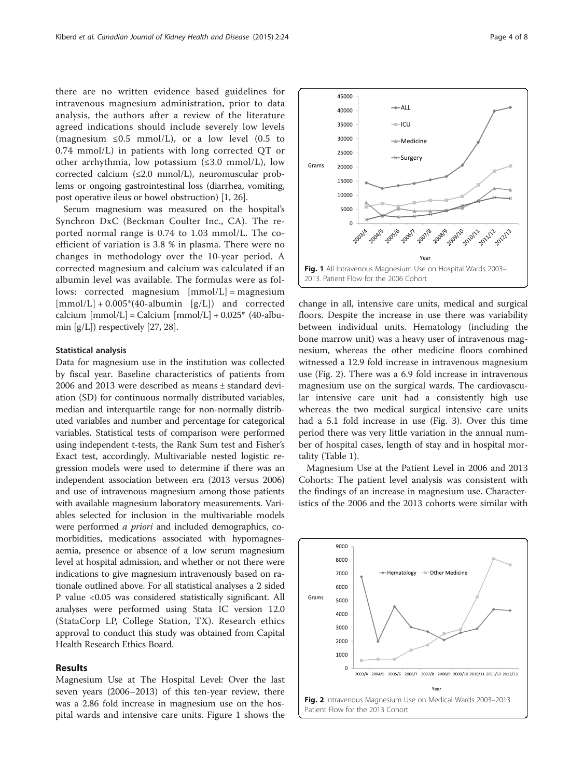there are no written evidence based guidelines for intravenous magnesium administration, prior to data analysis, the authors after a review of the literature agreed indications should include severely low levels (magnesium  $\leq 0.5$  mmol/L), or a low level (0.5 to 0.74 mmol/L) in patients with long corrected QT or other arrhythmia, low potassium (≤3.0 mmol/L), low corrected calcium (≤2.0 mmol/L), neuromuscular problems or ongoing gastrointestinal loss (diarrhea, vomiting, post operative ileus or bowel obstruction) [\[1](#page-7-0), [26\]](#page-7-0).

Serum magnesium was measured on the hospital's Synchron DxC (Beckman Coulter Inc., CA). The reported normal range is 0.74 to 1.03 mmol/L. The coefficient of variation is 3.8 % in plasma. There were no changes in methodology over the 10-year period. A corrected magnesium and calcium was calculated if an albumin level was available. The formulas were as follows: corrected magnesium  $[mmol/L] =$  magnesium  $[mmol/L] + 0.005*(40\text{-}albumin [g/L])$  and corrected calcium  ${\rm [mmol/L]} =$  Calcium  ${\rm [mmol/L]} + 0.025$ \* (40-albumin  $[g/L]$ ) respectively [[27](#page-7-0), [28\]](#page-7-0).

#### Statistical analysis

Data for magnesium use in the institution was collected by fiscal year. Baseline characteristics of patients from 2006 and 2013 were described as means ± standard deviation (SD) for continuous normally distributed variables, median and interquartile range for non-normally distributed variables and number and percentage for categorical variables. Statistical tests of comparison were performed using independent t-tests, the Rank Sum test and Fisher's Exact test, accordingly. Multivariable nested logistic regression models were used to determine if there was an independent association between era (2013 versus 2006) and use of intravenous magnesium among those patients with available magnesium laboratory measurements. Variables selected for inclusion in the multivariable models were performed a priori and included demographics, comorbidities, medications associated with hypomagnesaemia, presence or absence of a low serum magnesium level at hospital admission, and whether or not there were indications to give magnesium intravenously based on rationale outlined above. For all statistical analyses a 2 sided P value <0.05 was considered statistically significant. All analyses were performed using Stata IC version 12.0 (StataCorp LP, College Station, TX). Research ethics approval to conduct this study was obtained from Capital Health Research Ethics Board.

## Results

Magnesium Use at The Hospital Level: Over the last seven years (2006–2013) of this ten-year review, there was a 2.86 fold increase in magnesium use on the hospital wards and intensive care units. Figure 1 shows the



change in all, intensive care units, medical and surgical floors. Despite the increase in use there was variability between individual units. Hematology (including the bone marrow unit) was a heavy user of intravenous magnesium, whereas the other medicine floors combined witnessed a 12.9 fold increase in intravenous magnesium use (Fig. 2). There was a 6.9 fold increase in intravenous magnesium use on the surgical wards. The cardiovascular intensive care unit had a consistently high use whereas the two medical surgical intensive care units had a 5.1 fold increase in use (Fig. [3\)](#page-4-0). Over this time period there was very little variation in the annual number of hospital cases, length of stay and in hospital mortality (Table [1](#page-4-0)).

Magnesium Use at the Patient Level in 2006 and 2013 Cohorts: The patient level analysis was consistent with the findings of an increase in magnesium use. Characteristics of the 2006 and the 2013 cohorts were similar with

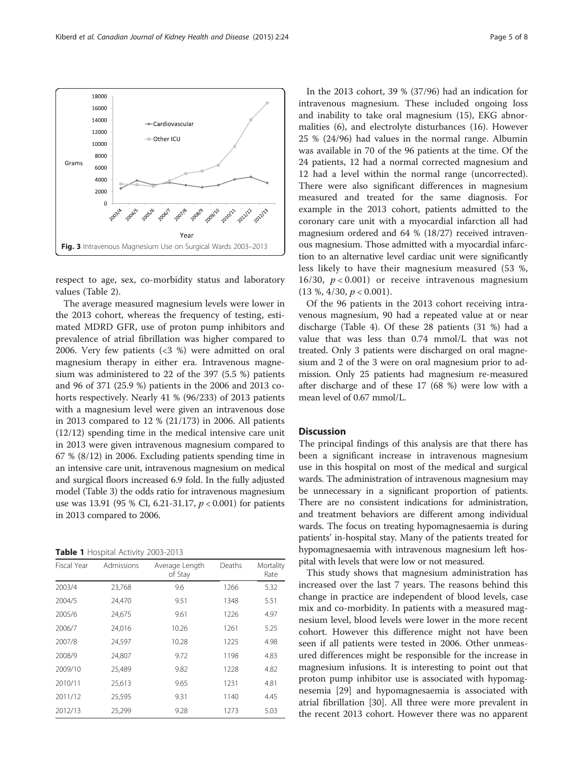respect to age, sex, co-morbidity status and laboratory values (Table [2\)](#page-5-0).

The average measured magnesium levels were lower in the 2013 cohort, whereas the frequency of testing, estimated MDRD GFR, use of proton pump inhibitors and prevalence of atrial fibrillation was higher compared to 2006. Very few patients (<3 %) were admitted on oral magnesium therapy in either era. Intravenous magnesium was administered to 22 of the 397 (5.5 %) patients and 96 of 371 (25.9 %) patients in the 2006 and 2013 cohorts respectively. Nearly 41 % (96/233) of 2013 patients with a magnesium level were given an intravenous dose in 2013 compared to 12 % (21/173) in 2006. All patients (12/12) spending time in the medical intensive care unit in 2013 were given intravenous magnesium compared to 67 % (8/12) in 2006. Excluding patients spending time in an intensive care unit, intravenous magnesium on medical and surgical floors increased 6.9 fold. In the fully adjusted model (Table [3\)](#page-6-0) the odds ratio for intravenous magnesium use was 13.91 (95 % CI, 6.21-31.17,  $p < 0.001$ ) for patients in 2013 compared to 2006.

Table 1 Hospital Activity 2003-2013

| Fiscal Year | Admissions | Average Length<br>of Stay | Deaths | Mortality<br>Rate |
|-------------|------------|---------------------------|--------|-------------------|
| 2003/4      | 23,768     | 9.6                       | 1266   | 5.32              |
| 2004/5      | 24.470     | 9.51                      | 1348   | 5.51              |
| 2005/6      | 24,675     | 9.61                      | 1226   | 4.97              |
| 2006/7      | 24.016     | 10.26                     | 1261   | 5.25              |
| 2007/8      | 24,597     | 10.28                     | 1225   | 4.98              |
| 2008/9      | 24.807     | 9.72                      | 1198   | 4.83              |
| 2009/10     | 25,489     | 9.82                      | 1228   | 4.82              |
| 2010/11     | 25,613     | 9.65                      | 1231   | 4.81              |
| 2011/12     | 25.595     | 9.31                      | 1140   | 4.45              |
| 2012/13     | 25,299     | 9.28                      | 1273   | 5.03              |

In the 2013 cohort, 39 % (37/96) had an indication for intravenous magnesium. These included ongoing loss and inability to take oral magnesium (15), EKG abnormalities (6), and electrolyte disturbances (16). However 25 % (24/96) had values in the normal range. Albumin was available in 70 of the 96 patients at the time. Of the 24 patients, 12 had a normal corrected magnesium and 12 had a level within the normal range (uncorrected). There were also significant differences in magnesium measured and treated for the same diagnosis. For example in the 2013 cohort, patients admitted to the coronary care unit with a myocardial infarction all had magnesium ordered and 64 % (18/27) received intravenous magnesium. Those admitted with a myocardial infarction to an alternative level cardiac unit were significantly less likely to have their magnesium measured (53 %, 16/30,  $p < 0.001$ ) or receive intravenous magnesium  $(13 \%, 4/30, p < 0.001)$ .

Of the 96 patients in the 2013 cohort receiving intravenous magnesium, 90 had a repeated value at or near discharge (Table [4](#page-6-0)). Of these 28 patients (31 %) had a value that was less than 0.74 mmol/L that was not treated. Only 3 patients were discharged on oral magnesium and 2 of the 3 were on oral magnesium prior to admission. Only 25 patients had magnesium re-measured after discharge and of these 17 (68 %) were low with a mean level of 0.67 mmol/L.

## **Discussion**

The principal findings of this analysis are that there has been a significant increase in intravenous magnesium use in this hospital on most of the medical and surgical wards. The administration of intravenous magnesium may be unnecessary in a significant proportion of patients. There are no consistent indications for administration, and treatment behaviors are different among individual wards. The focus on treating hypomagnesaemia is during patients' in-hospital stay. Many of the patients treated for hypomagnesaemia with intravenous magnesium left hospital with levels that were low or not measured.

This study shows that magnesium administration has increased over the last 7 years. The reasons behind this change in practice are independent of blood levels, case mix and co-morbidity. In patients with a measured magnesium level, blood levels were lower in the more recent cohort. However this difference might not have been seen if all patients were tested in 2006. Other unmeasured differences might be responsible for the increase in magnesium infusions. It is interesting to point out that proton pump inhibitor use is associated with hypomagnesemia [[29\]](#page-7-0) and hypomagnesaemia is associated with atrial fibrillation [\[30](#page-7-0)]. All three were more prevalent in the recent 2013 cohort. However there was no apparent

<span id="page-4-0"></span>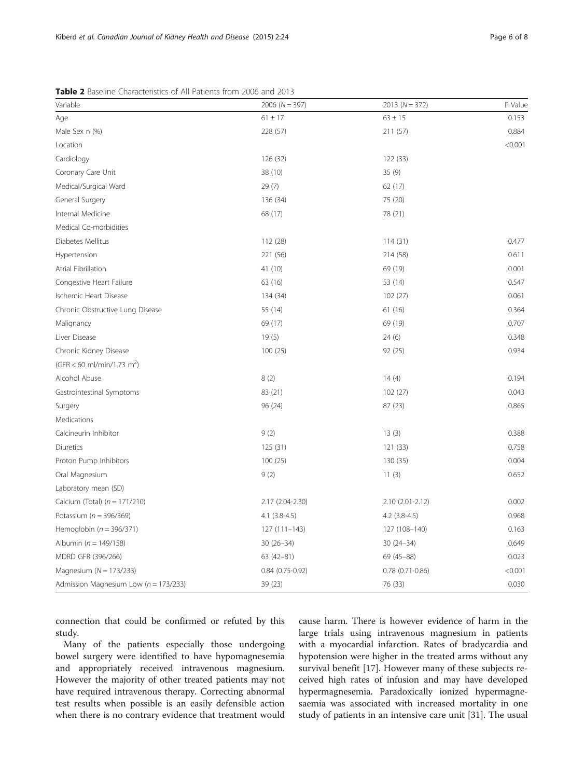| Variable                                  | $2006 (N = 397)$  | $2013 (N = 372)$ | P Value |
|-------------------------------------------|-------------------|------------------|---------|
| Age                                       | $61 \pm 17$       | $63 \pm 15$      | 0.153   |
| Male Sex n (%)                            | 228 (57)          | 211 (57)         | 0.884   |
| Location                                  |                   |                  | < 0.001 |
| Cardiology                                | 126 (32)          | 122 (33)         |         |
| Coronary Care Unit                        | 38 (10)           | 35(9)            |         |
| Medical/Surgical Ward                     | 29(7)             | 62(17)           |         |
| General Surgery                           | 136 (34)          | 75 (20)          |         |
| Internal Medicine                         | 68 (17)           | 78 (21)          |         |
| Medical Co-morbidities                    |                   |                  |         |
| Diabetes Mellitus                         | 112 (28)          | 114(31)          | 0.477   |
| Hypertension                              | 221 (56)          | 214 (58)         | 0.611   |
| Atrial Fibrillation                       | 41 (10)           | 69 (19)          | 0.001   |
| Congestive Heart Failure                  | 63 (16)           | 53 (14)          | 0.547   |
| Ischemic Heart Disease                    | 134 (34)          | 102(27)          | 0.061   |
| Chronic Obstructive Lung Disease          | 55 (14)           | 61 (16)          | 0.364   |
| Malignancy                                | 69 (17)           | 69 (19)          | 0.707   |
| Liver Disease                             | 19(5)             | 24(6)            | 0.348   |
| Chronic Kidney Disease                    | 100(25)           | 92 (25)          | 0.934   |
| (GFR < 60 ml/min/1.73 m <sup>2</sup> )    |                   |                  |         |
| Alcohol Abuse                             | 8(2)              | 14(4)            | 0.194   |
| Gastrointestinal Symptoms                 | 83 (21)           | 102(27)          | 0.043   |
| Surgery                                   | 96 (24)           | 87(23)           | 0.865   |
| Medications                               |                   |                  |         |
| Calcineurin Inhibitor                     | 9(2)              | 13(3)            | 0.388   |
| Diuretics                                 | 125(31)           | 121 (33)         | 0.758   |
| Proton Pump Inhibitors                    | 100 (25)          | 130 (35)         | 0.004   |
| Oral Magnesium                            | 9(2)              | 11(3)            | 0.652   |
| Laboratory mean (SD)                      |                   |                  |         |
| Calcium (Total) $(n = 171/210)$           | 2.17 (2.04-2.30)  | 2.10 (2.01-2.12) | 0.002   |
| Potassium ( $n = 396/369$ )               | $4.1$ $(3.8-4.5)$ | $4.2$ (3.8-4.5)  | 0.968   |
| Hemoglobin ( $n = 396/371$ )              | $127(111 - 143)$  | 127 (108-140)    | 0.163   |
| Albumin ( $n = 149/158$ )                 | $30(26 - 34)$     | $30(24 - 34)$    | 0.649   |
| MDRD GFR (396/266)                        | $63(42 - 81)$     | 69 (45-88)       | 0.023   |
| Magnesium ( $N = 173/233$ )               | $0.84(0.75-0.92)$ | 0.78 (0.71-0.86) | < 0.001 |
| Admission Magnesium Low ( $n = 173/233$ ) | 39 (23)           | 76 (33)          | 0.030   |

<span id="page-5-0"></span>Table 2 Baseline Characteristics of All Patients from 2006 and 2013

connection that could be confirmed or refuted by this study.

Many of the patients especially those undergoing bowel surgery were identified to have hypomagnesemia and appropriately received intravenous magnesium. However the majority of other treated patients may not have required intravenous therapy. Correcting abnormal test results when possible is an easily defensible action when there is no contrary evidence that treatment would cause harm. There is however evidence of harm in the large trials using intravenous magnesium in patients with a myocardial infarction. Rates of bradycardia and hypotension were higher in the treated arms without any survival benefit [\[17](#page-7-0)]. However many of these subjects received high rates of infusion and may have developed hypermagnesemia. Paradoxically ionized hypermagnesaemia was associated with increased mortality in one study of patients in an intensive care unit [\[31](#page-7-0)]. The usual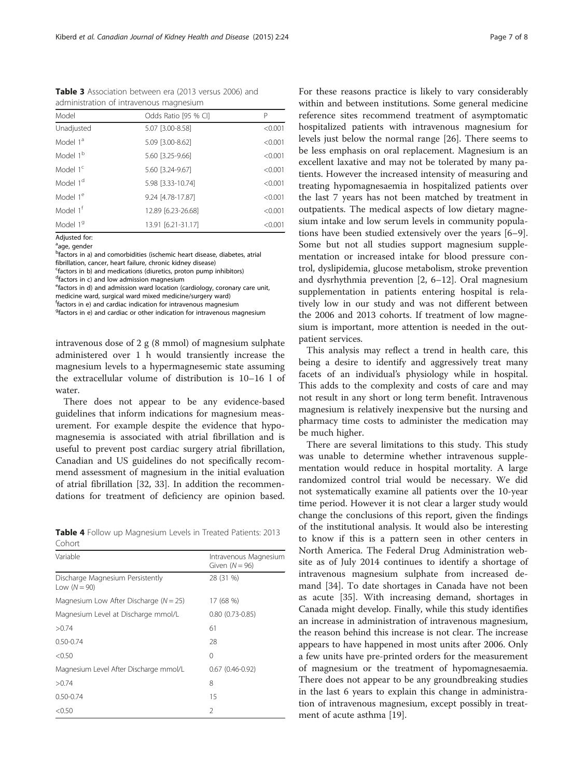<span id="page-6-0"></span>Table 3 Association between era (2013 versus 2006) and administration of intravenous magnesium

| Model                | Odds Ratio [95 % CI] | P       |
|----------------------|----------------------|---------|
| Unadjusted           | 5.07 [3.00-8.58]     | < 0.001 |
| Model 1 <sup>a</sup> | 5.09 [3.00-8.62]     | < 0.001 |
| Model 1 <sup>b</sup> | 5.60 [3.25-9.66]     | < 0.001 |
| Model 1 <sup>c</sup> | 5.60 [3.24-9.67]     | < 0.001 |
| Model 1 <sup>d</sup> | 5.98 [3.33-10.74]    | < 0.001 |
| Model 1 <sup>e</sup> | 9.24 [4.78-17.87]    | < 0.001 |
| Model 1 <sup>f</sup> | 12.89 [6.23-26.68]   | < 0.001 |
| Model 1 <sup>9</sup> | 13.91 [6.21-31.17]   | < 0.001 |

Adjusted for: <sup>a</sup>age, gender

<sup>b</sup>factors in a) and comorbidities (ischemic heart disease, diabetes, atrial fibrillation, cancer, heart failure, chronic kidney disease)

c factors in b) and medications (diuretics, proton pump inhibitors)

<sup>d</sup>factors in c) and low admission magnesium

e factors in d) and admission ward location (cardiology, coronary care unit,

medicine ward, surgical ward mixed medicine/surgery ward)

f factors in e) and cardiac indication for intravenous magnesium <sup>9</sup>factors in e) and cardiac or other indication for intravenous magnesium

intravenous dose of 2 g (8 mmol) of magnesium sulphate administered over 1 h would transiently increase the magnesium levels to a hypermagnesemic state assuming the extracellular volume of distribution is 10–16 l of water.

There does not appear to be any evidence-based guidelines that inform indications for magnesium measurement. For example despite the evidence that hypomagnesemia is associated with atrial fibrillation and is useful to prevent post cardiac surgery atrial fibrillation, Canadian and US guidelines do not specifically recommend assessment of magnesium in the initial evaluation of atrial fibrillation [\[32](#page-7-0), [33\]](#page-7-0). In addition the recommendations for treatment of deficiency are opinion based.

| Table 4 Follow up Magnesium Levels in Treated Patients: 2013 |  |  |
|--------------------------------------------------------------|--|--|
| Cohort                                                       |  |  |

| Variable                                           | Intravenous Magnesium<br>Given $(N = 96)$ |
|----------------------------------------------------|-------------------------------------------|
| Discharge Magnesium Persistently<br>Low $(N = 90)$ | 28 (31 %)                                 |
| Magnesium Low After Discharge ( $N = 25$ )         | 17 (68 %)                                 |
| Magnesium Level at Discharge mmol/L                | $0.80(0.73-0.85)$                         |
| >0.74                                              | 61                                        |
| $0.50 - 0.74$                                      | 28                                        |
| < 0.50                                             | 0                                         |
| Magnesium Level After Discharge mmol/L             | $0.67(0.46-0.92)$                         |
| >0.74                                              | 8                                         |
| $0.50 - 0.74$                                      | 15                                        |
| < 0.50                                             | $\mathfrak{D}$                            |

For these reasons practice is likely to vary considerably within and between institutions. Some general medicine reference sites recommend treatment of asymptomatic hospitalized patients with intravenous magnesium for levels just below the normal range [\[26](#page-7-0)]. There seems to be less emphasis on oral replacement. Magnesium is an excellent laxative and may not be tolerated by many patients. However the increased intensity of measuring and treating hypomagnesaemia in hospitalized patients over the last 7 years has not been matched by treatment in outpatients. The medical aspects of low dietary magnesium intake and low serum levels in community populations have been studied extensively over the years [\[6](#page-7-0)–[9](#page-7-0)]. Some but not all studies support magnesium supplementation or increased intake for blood pressure control, dyslipidemia, glucose metabolism, stroke prevention and dysrhythmia prevention [[2, 6](#page-7-0)–[12](#page-7-0)]. Oral magnesium supplementation in patients entering hospital is relatively low in our study and was not different between the 2006 and 2013 cohorts. If treatment of low magnesium is important, more attention is needed in the outpatient services.

This analysis may reflect a trend in health care, this being a desire to identify and aggressively treat many facets of an individual's physiology while in hospital. This adds to the complexity and costs of care and may not result in any short or long term benefit. Intravenous magnesium is relatively inexpensive but the nursing and pharmacy time costs to administer the medication may be much higher.

There are several limitations to this study. This study was unable to determine whether intravenous supplementation would reduce in hospital mortality. A large randomized control trial would be necessary. We did not systematically examine all patients over the 10-year time period. However it is not clear a larger study would change the conclusions of this report, given the findings of the institutional analysis. It would also be interesting to know if this is a pattern seen in other centers in North America. The Federal Drug Administration website as of July 2014 continues to identify a shortage of intravenous magnesium sulphate from increased demand [\[34\]](#page-7-0). To date shortages in Canada have not been as acute [[35\]](#page-7-0). With increasing demand, shortages in Canada might develop. Finally, while this study identifies an increase in administration of intravenous magnesium, the reason behind this increase is not clear. The increase appears to have happened in most units after 2006. Only a few units have pre-printed orders for the measurement of magnesium or the treatment of hypomagnesaemia. There does not appear to be any groundbreaking studies in the last 6 years to explain this change in administration of intravenous magnesium, except possibly in treatment of acute asthma [[19\]](#page-7-0).